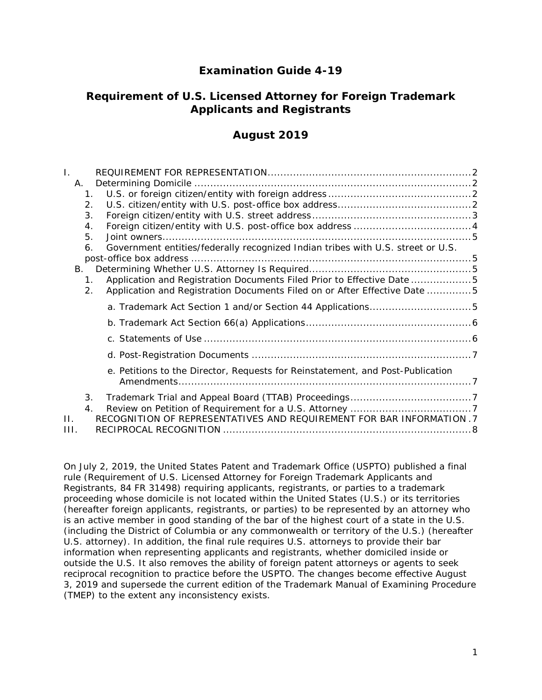# **Examination Guide 4-19**

# **Requirement of U.S. Licensed Attorney for Foreign Trademark Applicants and Registrants**

# **August 2019**

| L.   |                |                                                                                 |  |
|------|----------------|---------------------------------------------------------------------------------|--|
|      | Α.             |                                                                                 |  |
|      | $\mathbf{1}$ . |                                                                                 |  |
|      | 2.             |                                                                                 |  |
|      | 3.             |                                                                                 |  |
|      | 4.             |                                                                                 |  |
|      | 5.             |                                                                                 |  |
|      | 6.             | Government entities/federally recognized Indian tribes with U.S. street or U.S. |  |
|      |                |                                                                                 |  |
|      | B.             |                                                                                 |  |
|      | 1 <sub>1</sub> | Application and Registration Documents Filed Prior to Effective Date 5          |  |
|      | 2.             | Application and Registration Documents Filed on or After Effective Date 5       |  |
|      |                |                                                                                 |  |
|      |                |                                                                                 |  |
|      |                |                                                                                 |  |
|      |                |                                                                                 |  |
|      |                | e. Petitions to the Director, Requests for Reinstatement, and Post-Publication  |  |
|      |                |                                                                                 |  |
|      | 3.             |                                                                                 |  |
|      | 4.             |                                                                                 |  |
| П.   |                | RECOGNITION OF REPRESENTATIVES AND REQUIREMENT FOR BAR INFORMATION .7           |  |
| III. |                |                                                                                 |  |

On July 2, 2019, the United States Patent and Trademark Office (USPTO) published a final rule (*Requirement of U.S. Licensed Attorney for Foreign Trademark Applicants and Registrants*, 84 FR 31498) requiring applicants, registrants, or parties to a trademark proceeding whose domicile is not located within the United States (U.S.) or its territories (hereafter foreign applicants, registrants, or parties) to be represented by an attorney who is an active member in good standing of the bar of the highest court of a state in the U.S. (including the District of Columbia or any commonwealth or territory of the U.S.) (hereafter U.S. attorney). In addition, the final rule requires U.S. attorneys to provide their bar information when representing applicants and registrants, whether domiciled inside or outside the U.S. It also removes the ability of foreign patent attorneys or agents to seek reciprocal recognition to practice before the USPTO. The changes become effective August 3, 2019 and supersede the current edition of the Trademark Manual of Examining Procedure (TMEP) to the extent any inconsistency exists.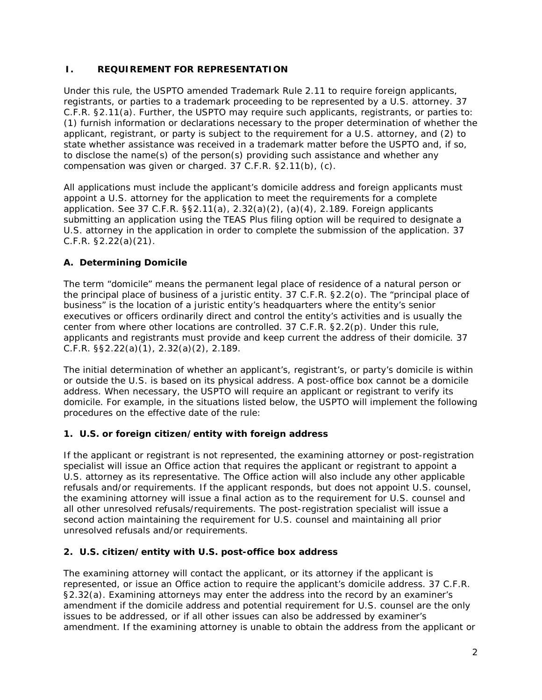## <span id="page-1-0"></span>**I. REQUIREMENT FOR REPRESENTATION**

Under this rule, the USPTO amended Trademark Rule 2.11 to require foreign applicants, registrants, or parties to a trademark proceeding to be represented by a U.S. attorney. 37 C.F.R. §2.11(a). Further, the USPTO may require such applicants, registrants, or parties to: (1) furnish information or declarations necessary to the proper determination of whether the applicant, registrant, or party is subject to the requirement for a U.S. attorney, and (2) to state whether assistance was received in a trademark matter before the USPTO and, if so, to disclose the name(s) of the person(s) providing such assistance and whether any compensation was given or charged. 37 C.F.R. §2.11(b), (c).

All applications must include the applicant's domicile address and foreign applicants must appoint a U.S. attorney for the application to meet the requirements for a complete application. *See* 37 C.F.R. §§2.11(a), 2.32(a)(2), (a)(4), 2.189. Foreign applicants submitting an application using the TEAS Plus filing option will be required to designate a U.S. attorney in the application in order to complete the submission of the application. 37 C.F.R. §2.22(a)(21).

# <span id="page-1-1"></span>**A. Determining Domicile**

The term "domicile" means the permanent legal place of residence of a natural person or the principal place of business of a juristic entity. 37 C.F.R. §2.2(o). The "principal place of business" is the location of a juristic entity's headquarters where the entity's senior executives or officers ordinarily direct and control the entity's activities and is usually the center from where other locations are controlled. 37 C.F.R. §2.2(p). Under this rule, applicants and registrants must provide and keep current the address of their domicile. 37 C.F.R. §§2.22(a)(1), 2.32(a)(2), 2.189.

The initial determination of whether an applicant's, registrant's, or party's domicile is within or outside the U.S. is based on its physical address. A post-office box cannot be a domicile address. When necessary, the USPTO will require an applicant or registrant to verify its domicile. For example, in the situations listed below, the USPTO will implement the following procedures on the effective date of the rule:

# <span id="page-1-2"></span>**1. U.S. or foreign citizen/entity with foreign address**

If the applicant or registrant is not represented, the examining attorney or post-registration specialist will issue an Office action that requires the applicant or registrant to appoint a U.S. attorney as its representative. The Office action will also include any other applicable refusals and/or requirements. If the applicant responds, but does not appoint U.S. counsel, the examining attorney will issue a final action as to the requirement for U.S. counsel and all other unresolved refusals/requirements. The post-registration specialist will issue a second action maintaining the requirement for U.S. counsel and maintaining all prior unresolved refusals and/or requirements.

# <span id="page-1-3"></span>**2. U.S. citizen/entity with U.S. post-office box address**

The examining attorney will contact the applicant, or its attorney if the applicant is represented, or issue an Office action to require the applicant's domicile address. 37 C.F.R. §2.32(a). Examining attorneys may enter the address into the record by an examiner's amendment if the domicile address and potential requirement for U.S. counsel are the only issues to be addressed, or if all other issues can also be addressed by examiner's amendment. If the examining attorney is unable to obtain the address from the applicant or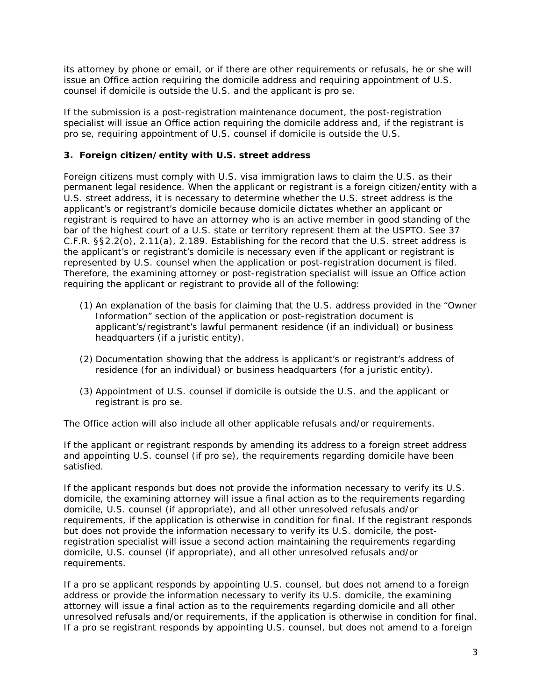its attorney by phone or email, or if there are other requirements or refusals, he or she will issue an Office action requiring the domicile address and requiring appointment of U.S. counsel if domicile is outside the U.S. and the applicant is pro se.

If the submission is a post-registration maintenance document, the post-registration specialist will issue an Office action requiring the domicile address and, if the registrant is pro se, requiring appointment of U.S. counsel if domicile is outside the U.S.

# <span id="page-2-0"></span>**3. Foreign citizen/entity with U.S. street address**

Foreign citizens must comply with U.S. visa immigration laws to claim the U.S. as their permanent legal residence. When the applicant or registrant is a foreign citizen/entity with a U.S. street address, it is necessary to determine whether the U.S. street address is the applicant's or registrant's domicile because domicile dictates whether an applicant or registrant is required to have an attorney who is an active member in good standing of the bar of the highest court of a U.S. state or territory represent them at the USPTO. *See* 37 C.F.R. §§2.2(o), 2.11(a), 2.189. Establishing for the record that the U.S. street address is the applicant's or registrant's domicile is necessary even if the applicant or registrant is represented by U.S. counsel when the application or post-registration document is filed. Therefore, the examining attorney or post-registration specialist will issue an Office action requiring the applicant or registrant to provide *all* of the following:

- (1) An explanation of the basis for claiming that the U.S. address provided in the "Owner Information" section of the application or post-registration document is applicant's/registrant's lawful permanent residence (if an individual) or business headquarters (if a juristic entity).
- (2) Documentation showing that the address is applicant's or registrant's address of residence (for an individual) or business headquarters (for a juristic entity).
- (3) Appointment of U.S. counsel if domicile is outside the U.S. and the applicant or registrant is pro se.

The Office action will also include all other applicable refusals and/or requirements.

If the applicant or registrant responds by amending its address to a *foreign street address* and appointing U.S. counsel (if pro se), the requirements regarding domicile have been satisfied.

If the applicant responds but does not provide the information necessary to verify its U.S. domicile, the examining attorney will issue a final action as to the requirements regarding domicile, U.S. counsel (if appropriate), and all other unresolved refusals and/or requirements, if the application is otherwise in condition for final. If the registrant responds but does not provide the information necessary to verify its U.S. domicile, the postregistration specialist will issue a second action maintaining the requirements regarding domicile, U.S. counsel (if appropriate), and all other unresolved refusals and/or requirements.

If a pro se applicant responds by appointing U.S. counsel, but does not amend to a foreign address or provide the information necessary to verify its U.S. domicile, the examining attorney will issue a final action as to the requirements regarding domicile and all other unresolved refusals and/or requirements, if the application is otherwise in condition for final. If a pro se registrant responds by appointing U.S. counsel, but does not amend to a foreign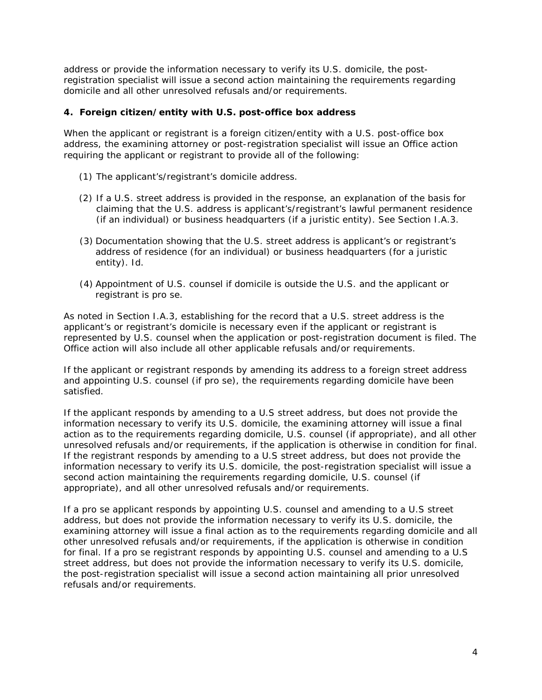address or provide the information necessary to verify its U.S. domicile, the postregistration specialist will issue a second action maintaining the requirements regarding domicile and all other unresolved refusals and/or requirements.

#### <span id="page-3-0"></span>**4. Foreign citizen/entity with U.S. post-office box address**

When the applicant or registrant is a foreign citizen/entity with a U.S. post-office box address, the examining attorney or post-registration specialist will issue an Office action requiring the applicant or registrant to provide *all* of the following:

- (1) The applicant's/registrant's domicile address.
- (2) If a U.S. street address is provided in the response, an explanation of the basis for claiming that the U.S. address is applicant's/registrant's lawful permanent residence (if an individual) or business headquarters (if a juristic entity). *See* Section I.A.3.
- (3) Documentation showing that the U.S. street address is applicant's or registrant's address of residence (for an individual) or business headquarters (for a juristic entity). *Id*.
- (4) Appointment of U.S. counsel if domicile is outside the U.S. and the applicant or registrant is pro se.

As noted in Section I.A.3, establishing for the record that a U.S. street address is the applicant's or registrant's domicile is necessary even if the applicant or registrant is represented by U.S. counsel when the application or post-registration document is filed. The Office action will also include all other applicable refusals and/or requirements.

If the applicant or registrant responds by amending its address to a foreign street address and appointing U.S. counsel (if pro se), the requirements regarding domicile have been satisfied.

If the applicant responds by amending to a U.S street address, but does not provide the information necessary to verify its U.S. domicile, the examining attorney will issue a final action as to the requirements regarding domicile, U.S. counsel (if appropriate), and all other unresolved refusals and/or requirements, if the application is otherwise in condition for final. If the registrant responds by amending to a U.S street address, but does not provide the information necessary to verify its U.S. domicile, the post-registration specialist will issue a second action maintaining the requirements regarding domicile, U.S. counsel (if appropriate), and all other unresolved refusals and/or requirements.

If a pro se applicant responds by appointing U.S. counsel and amending to a U.S street address, but does not provide the information necessary to verify its U.S. domicile, the examining attorney will issue a final action as to the requirements regarding domicile and all other unresolved refusals and/or requirements, if the application is otherwise in condition for final. If a pro se registrant responds by appointing U.S. counsel and amending to a U.S street address, but does not provide the information necessary to verify its U.S. domicile, the post-registration specialist will issue a second action maintaining all prior unresolved refusals and/or requirements.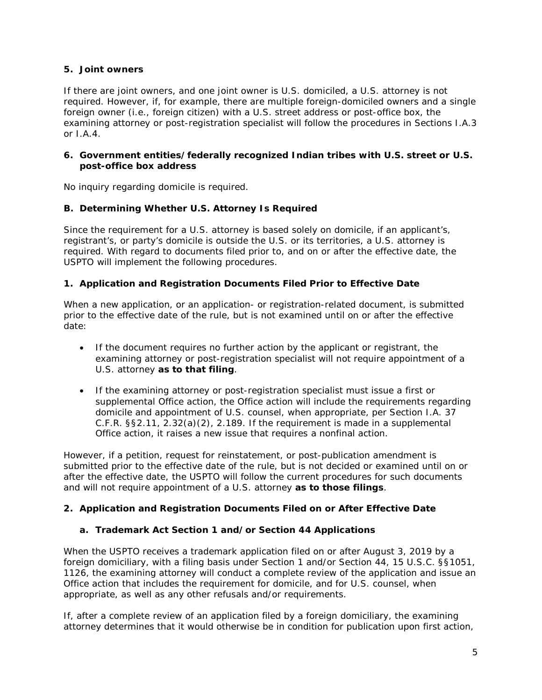#### <span id="page-4-0"></span>**5. Joint owners**

If there are joint owners, and one joint owner is U.S. domiciled, a U.S. attorney is not required. However, if, for example, there are multiple foreign-domiciled owners and a single foreign owner (i.e., foreign citizen) with a U.S. street address or post-office box, the examining attorney or post-registration specialist will follow the procedures in Sections I.A.3 or  $I$  A 4.

#### <span id="page-4-1"></span>**6. Government entities/federally recognized Indian tribes with U.S. street or U.S. post-office box address**

<span id="page-4-2"></span>No inquiry regarding domicile is required.

### **B. Determining Whether U.S. Attorney Is Required**

Since the requirement for a U.S. attorney is based solely on domicile, if an applicant's, registrant's, or party's domicile is outside the U.S. or its territories, a U.S. attorney is required. With regard to documents filed prior to, and on or after the effective date, the USPTO will implement the following procedures.

### <span id="page-4-3"></span>**1. Application and Registration Documents Filed Prior to Effective Date**

When a new application, or an application- or registration-related document, is submitted prior to the effective date of the rule, but is not examined until on or after the effective date:

- If the document requires no further action by the applicant or registrant, the examining attorney or post-registration specialist will not require appointment of a U.S. attorney *as to that filing*.
- If the examining attorney or post-registration specialist must issue a first or supplemental Office action, the Office action will include the requirements regarding domicile and appointment of U.S. counsel, when appropriate, per Section I.A. 37 C.F.R. §§2.11, 2.32(a)(2), 2.189. If the requirement is made in a supplemental Office action, it raises a new issue that requires a nonfinal action.

However, if a petition, request for reinstatement, or post-publication amendment is submitted prior to the effective date of the rule, but is not decided or examined until on or after the effective date, the USPTO will follow the current procedures for such documents and will not require appointment of a U.S. attorney *as to those filings*.

# <span id="page-4-4"></span>**2. Application and Registration Documents Filed on or After Effective Date**

# <span id="page-4-5"></span>**a. Trademark Act Section 1 and/or Section 44 Applications**

When the USPTO receives a trademark application filed on or after August 3, 2019 by a foreign domiciliary, with a filing basis under Section 1 and/or Section 44, 15 U.S.C. §§1051, 1126, the examining attorney will conduct a complete review of the application and issue an Office action that includes the requirement for domicile, and for U.S. counsel, when appropriate, as well as any other refusals and/or requirements.

If, after a complete review of an application filed by a foreign domiciliary, the examining attorney determines that it would otherwise be in condition for publication upon first action,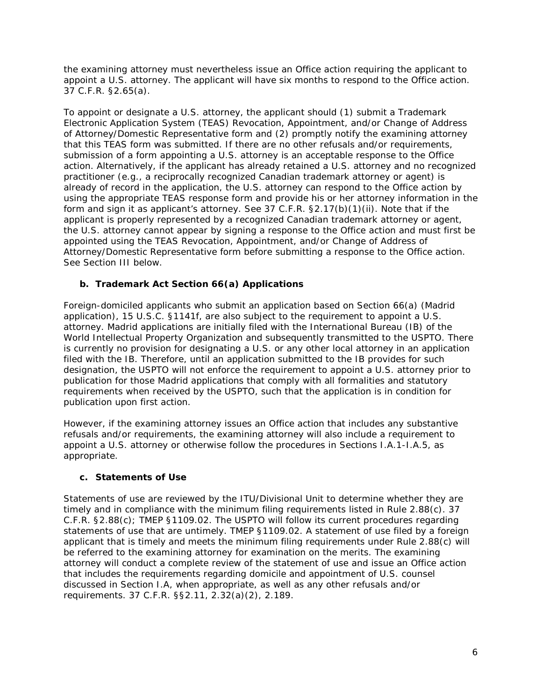the examining attorney must nevertheless issue an Office action requiring the applicant to appoint a U.S. attorney. The applicant will have six months to respond to the Office action. 37 C.F.R. §2.65(a).

To appoint or designate a U.S. attorney, the applicant should (1) submit a Trademark Electronic Application System (TEAS) Revocation, Appointment, and/or Change of Address of Attorney/Domestic Representative form and (2) promptly notify the examining attorney that this TEAS form was submitted. If there are no other refusals and/or requirements, submission of a form appointing a U.S. attorney is an acceptable response to the Office action. Alternatively, if the applicant has already retained a U.S. attorney and no recognized practitioner (e.g., a reciprocally recognized Canadian trademark attorney or agent) is already of record in the application, the U.S. attorney can respond to the Office action by using the appropriate TEAS response form and provide his or her attorney information in the form and sign it as applicant's attorney. *See* 37 C.F.R. §2.17(b)(1)(ii). Note that if the applicant is properly represented by a recognized Canadian trademark attorney or agent, the U.S. attorney cannot appear by signing a response to the Office action and must first be appointed using the TEAS Revocation, Appointment, and/or Change of Address of Attorney/Domestic Representative form *before* submitting a response to the Office action. See Section III below.

# <span id="page-5-0"></span>**b. Trademark Act Section 66(a) Applications**

Foreign-domiciled applicants who submit an application based on Section 66(a) (Madrid application), 15 U.S.C. §1141f, are also subject to the requirement to appoint a U.S. attorney. Madrid applications are initially filed with the International Bureau (IB) of the World Intellectual Property Organization and subsequently transmitted to the USPTO. There is currently no provision for designating a U.S. or any other local attorney in an application filed with the IB. Therefore, until an application submitted to the IB provides for such designation, the USPTO will not enforce the requirement to appoint a U.S. attorney prior to publication for those Madrid applications that comply with all formalities and statutory requirements when received by the USPTO, such that the application is in condition for publication upon first action.

However, if the examining attorney issues an Office action that includes any substantive refusals and/or requirements, the examining attorney will also include a requirement to appoint a U.S. attorney or otherwise follow the procedures in Sections I.A.1-I.A.5, as appropriate.

# <span id="page-5-1"></span>**c. Statements of Use**

Statements of use are reviewed by the ITU/Divisional Unit to determine whether they are timely and in compliance with the minimum filing requirements listed in Rule 2.88(c). 37 C.F.R. §2.88(c); TMEP §1109.02. The USPTO will follow its current procedures regarding statements of use that are untimely. TMEP §1109.02. A statement of use filed by a foreign applicant that is timely and meets the minimum filing requirements under Rule 2.88(c) will be referred to the examining attorney for examination on the merits. The examining attorney will conduct a complete review of the statement of use and issue an Office action that includes the requirements regarding domicile and appointment of U.S. counsel discussed in Section I.A, when appropriate, as well as any other refusals and/or requirements. 37 C.F.R. §§2.11, 2.32(a)(2), 2.189.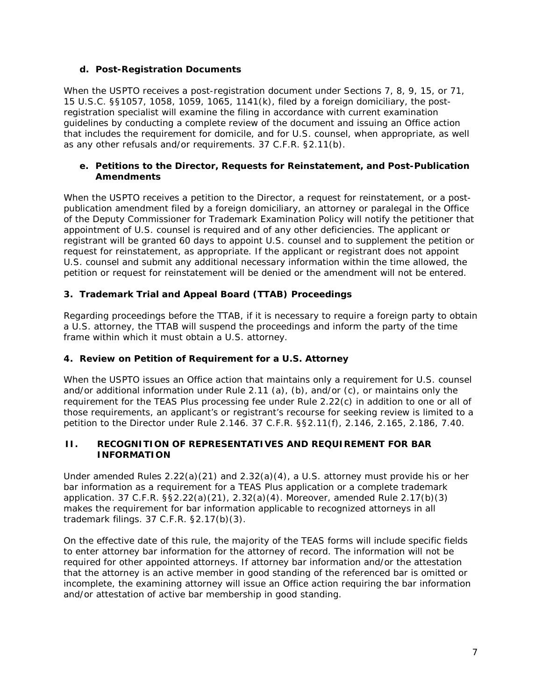## <span id="page-6-0"></span>**d. Post-Registration Documents**

When the USPTO receives a post-registration document under Sections 7, 8, 9, 15, or 71, 15 U.S.C. §§1057, 1058, 1059, 1065, 1141(k), filed by a foreign domiciliary, the postregistration specialist will examine the filing in accordance with current examination guidelines by conducting a complete review of the document and issuing an Office action that includes the requirement for domicile, and for U.S. counsel, when appropriate, as well as any other refusals and/or requirements. 37 C.F.R. §2.11(b).

### <span id="page-6-1"></span>**e. Petitions to the Director, Requests for Reinstatement, and Post-Publication Amendments**

When the USPTO receives a petition to the Director, a request for reinstatement, or a postpublication amendment filed by a foreign domiciliary, an attorney or paralegal in the Office of the Deputy Commissioner for Trademark Examination Policy will notify the petitioner that appointment of U.S. counsel is required and of any other deficiencies. The applicant or registrant will be granted 60 days to appoint U.S. counsel and to supplement the petition or request for reinstatement, as appropriate. If the applicant or registrant does not appoint U.S. counsel and submit any additional necessary information within the time allowed, the petition or request for reinstatement will be denied or the amendment will not be entered.

# <span id="page-6-2"></span>**3. Trademark Trial and Appeal Board (TTAB) Proceedings**

Regarding proceedings before the TTAB, if it is necessary to require a foreign party to obtain a U.S. attorney, the TTAB will suspend the proceedings and inform the party of the time frame within which it must obtain a U.S. attorney.

# <span id="page-6-3"></span>**4. Review on Petition of Requirement for a U.S. Attorney**

When the USPTO issues an Office action that maintains only a requirement for U.S. counsel and/or additional information under Rule 2.11 (a), (b), and/or (c), or maintains only the requirement for the TEAS Plus processing fee under Rule 2.22(c) in addition to one or all of those requirements, an applicant's or registrant's recourse for seeking review is limited to a petition to the Director under Rule 2.146. 37 C.F.R. §§2.11(f), 2.146, 2.165, 2.186, 7.40.

#### <span id="page-6-4"></span>**II. RECOGNITION OF REPRESENTATIVES AND REQUIREMENT FOR BAR INFORMATION**

Under amended Rules  $2.22(a)(21)$  and  $2.32(a)(4)$ , a U.S. attorney must provide his or her bar information as a requirement for a TEAS Plus application or a complete trademark application. 37 C.F.R. §§2.22(a)(21), 2.32(a)(4). Moreover, amended Rule 2.17(b)(3) makes the requirement for bar information applicable to recognized attorneys in all trademark filings. 37 C.F.R. §2.17(b)(3).

On the effective date of this rule, the majority of the TEAS forms will include specific fields to enter attorney bar information for the attorney of record. The information will not be required for other appointed attorneys. If attorney bar information and/or the attestation that the attorney is an active member in good standing of the referenced bar is omitted or incomplete, the examining attorney will issue an Office action requiring the bar information and/or attestation of active bar membership in good standing.